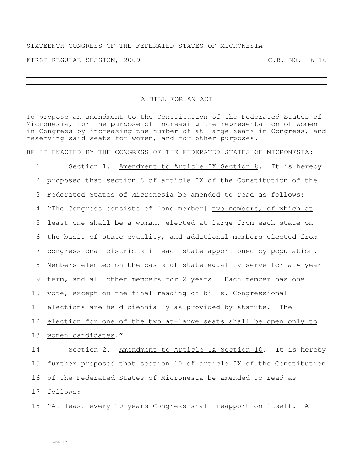## SIXTEENTH CONGRESS OF THE FEDERATED STATES OF MICRONESIA

FIRST REGULAR SESSION, 2009 C.B. NO. 16-10

## A BILL FOR AN ACT

To propose an amendment to the Constitution of the Federated States of Micronesia, for the purpose of increasing the representation of women in Congress by increasing the number of at-large seats in Congress, and reserving said seats for women, and for other purposes.

BE IT ENACTED BY THE CONGRESS OF THE FEDERATED STATES OF MICRONESIA:

 Section 1. Amendment to Article IX Section 8. It is hereby proposed that section 8 of article IX of the Constitution of the Federated States of Micronesia be amended to read as follows: 4 "The Congress consists of [one member] two members, of which at least one shall be a woman, elected at large from each state on the basis of state equality, and additional members elected from congressional districts in each state apportioned by population. Members elected on the basis of state equality serve for a 4-year term, and all other members for 2 years. Each member has one vote, except on the final reading of bills. Congressional elections are held biennially as provided by statute. The 12 election for one of the two at-large seats shall be open only to 13 women candidates." Section 2. Amendment to Article IX Section 10. It is hereby further proposed that section 10 of article IX of the Constitution of the Federated States of Micronesia be amended to read as

17 follows:

18 "At least every 10 years Congress shall reapportion itself. A